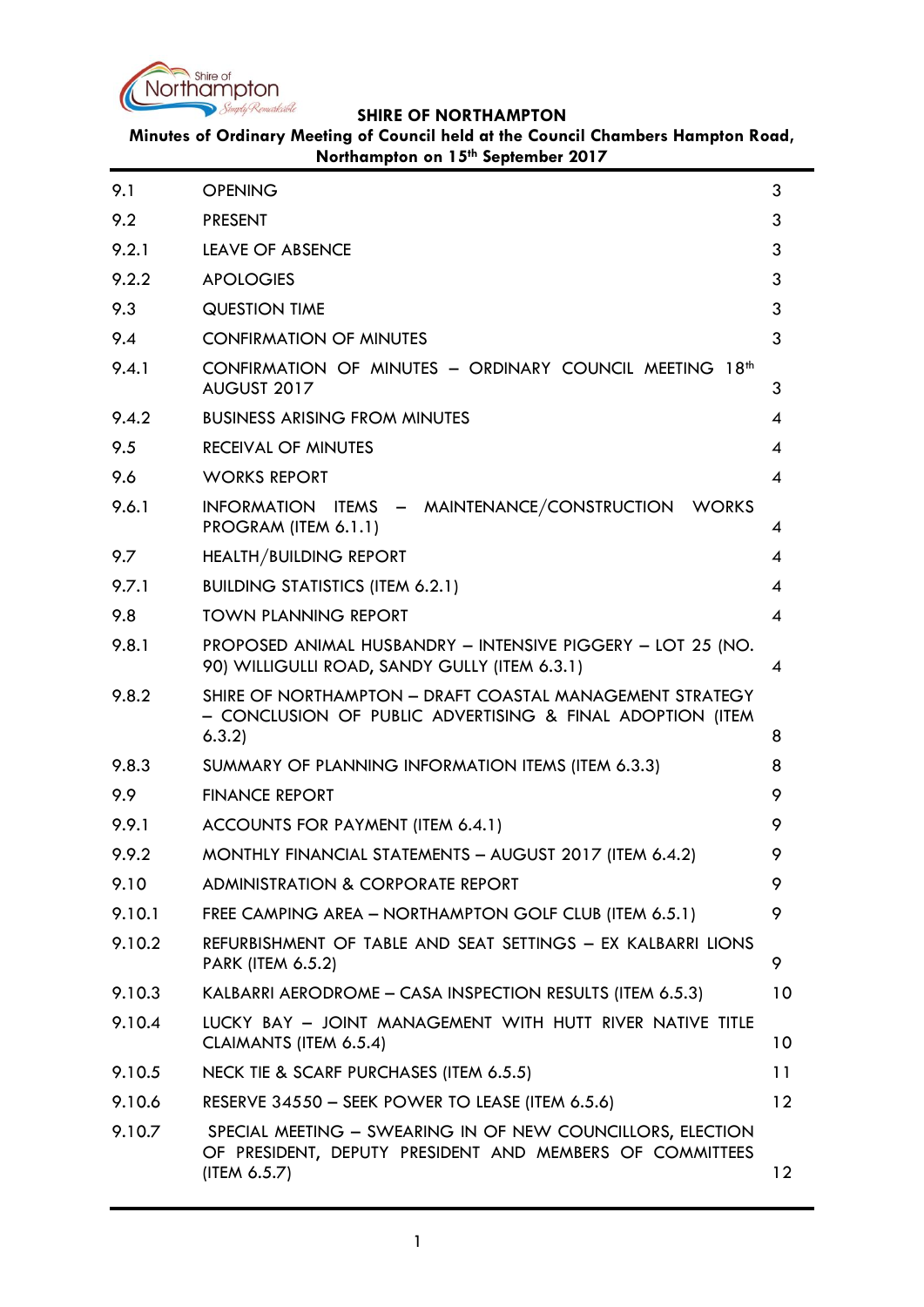

#### **Minutes of Ordinary Meeting of Council held at the Council Chambers Hampton Road, Northampton on 15th September 2017**

| 9.1    | <b>OPENING</b>                                                                                                                         | 3               |
|--------|----------------------------------------------------------------------------------------------------------------------------------------|-----------------|
| 9.2    | <b>PRESENT</b>                                                                                                                         | 3               |
| 9.2.1  | LEAVE OF ABSENCE                                                                                                                       | 3               |
| 9.2.2  | <b>APOLOGIES</b>                                                                                                                       | 3               |
| 9.3    | <b>QUESTION TIME</b>                                                                                                                   | 3               |
| 9.4    | <b>CONFIRMATION OF MINUTES</b>                                                                                                         | 3               |
| 9.4.1  | CONFIRMATION OF MINUTES - ORDINARY COUNCIL MEETING 18th<br>AUGUST 2017                                                                 | 3               |
| 9.4.2  | <b>BUSINESS ARISING FROM MINUTES</b>                                                                                                   | 4               |
| 9.5    | <b>RECEIVAL OF MINUTES</b>                                                                                                             | 4               |
| 9.6    | <b>WORKS REPORT</b>                                                                                                                    | 4               |
| 9.6.1  | INFORMATION ITEMS - MAINTENANCE/CONSTRUCTION<br><b>WORKS</b><br>PROGRAM (ITEM 6.1.1)                                                   | 4               |
| 9.7    | <b>HEALTH/BUILDING REPORT</b>                                                                                                          | 4               |
| 9.7.1  | <b>BUILDING STATISTICS (ITEM 6.2.1)</b>                                                                                                | 4               |
| 9.8    | <b>TOWN PLANNING REPORT</b>                                                                                                            | 4               |
| 9.8.1  | PROPOSED ANIMAL HUSBANDRY - INTENSIVE PIGGERY - LOT 25 (NO.<br>90) WILLIGULLI ROAD, SANDY GULLY (ITEM 6.3.1)                           | 4               |
| 9.8.2  | SHIRE OF NORTHAMPTON - DRAFT COASTAL MANAGEMENT STRATEGY<br>- CONCLUSION OF PUBLIC ADVERTISING & FINAL ADOPTION (ITEM<br>6.3.2         | 8               |
| 9.8.3  | SUMMARY OF PLANNING INFORMATION ITEMS (ITEM 6.3.3)                                                                                     | 8               |
| 9.9    | <b>FINANCE REPORT</b>                                                                                                                  | 9               |
| 9.9.1  | ACCOUNTS FOR PAYMENT (ITEM 6.4.1)                                                                                                      | 9               |
| 9.9.2  | MONTHLY FINANCIAL STATEMENTS - AUGUST 2017 (ITEM 6.4.2)                                                                                | 9               |
| 9.10   | <b>ADMINISTRATION &amp; CORPORATE REPORT</b>                                                                                           | 9               |
| 9.10.1 | FREE CAMPING AREA - NORTHAMPTON GOLF CLUB (ITEM 6.5.1)                                                                                 | 9               |
| 9.10.2 | REFURBISHMENT OF TABLE AND SEAT SETTINGS - EX KALBARRI LIONS<br><b>PARK (ITEM 6.5.2)</b>                                               | 9               |
| 9.10.3 | KALBARRI AERODROME – CASA INSPECTION RESULTS (ITEM 6.5.3)                                                                              | 10              |
| 9.10.4 | LUCKY BAY - JOINT MANAGEMENT WITH HUTT RIVER NATIVE TITLE<br>CLAIMANTS (ITEM 6.5.4)                                                    | 10 <sup>°</sup> |
| 9.10.5 | NECK TIE & SCARF PURCHASES (ITEM 6.5.5)                                                                                                | 11              |
| 9.10.6 | RESERVE 34550 - SEEK POWER TO LEASE (ITEM 6.5.6)                                                                                       | 12 <sup>°</sup> |
| 9.10.7 | SPECIAL MEETING - SWEARING IN OF NEW COUNCILLORS, ELECTION<br>OF PRESIDENT, DEPUTY PRESIDENT AND MEMBERS OF COMMITTEES<br>(ITEM 6.5.7) | 12 <sup>2</sup> |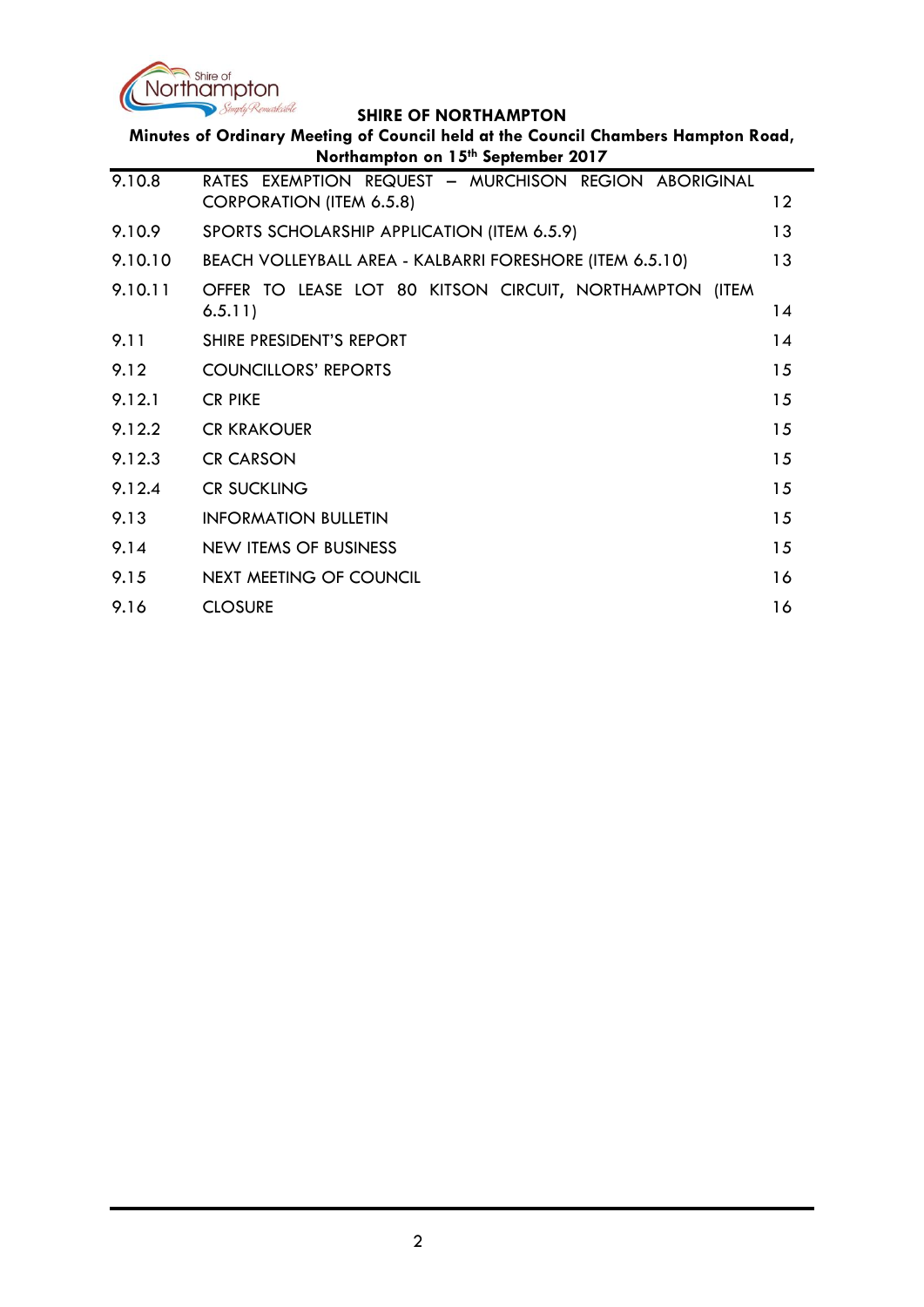

 $\overline{\phantom{0}}$ 

| Minutes of Ordinary Meeting of Council held at the Council Chambers Hampton Road,<br>Northampton on 15th September 2017 |                                                                                          |    |  |
|-------------------------------------------------------------------------------------------------------------------------|------------------------------------------------------------------------------------------|----|--|
| 9.10.8                                                                                                                  | RATES EXEMPTION REQUEST - MURCHISON REGION ABORIGINAL<br><b>CORPORATION (ITEM 6.5.8)</b> | 12 |  |
| 9.10.9                                                                                                                  | SPORTS SCHOLARSHIP APPLICATION (ITEM 6.5.9)                                              | 13 |  |
| 9.10.10                                                                                                                 | BEACH VOLLEYBALL AREA - KALBARRI FORESHORE (ITEM 6.5.10)                                 | 13 |  |
| 9.10.11                                                                                                                 | OFFER TO LEASE LOT 80 KITSON CIRCUIT, NORTHAMPTON (ITEM<br>6.5.11)                       | 14 |  |
| 9.11                                                                                                                    | SHIRE PRESIDENT'S REPORT                                                                 | 14 |  |
| 9.12                                                                                                                    | <b>COUNCILLORS' REPORTS</b>                                                              | 15 |  |
| 9.12.1                                                                                                                  | <b>CR PIKE</b>                                                                           | 15 |  |
| 9.12.2                                                                                                                  | <b>CR KRAKOUER</b>                                                                       | 15 |  |
| 9.12.3                                                                                                                  | <b>CR CARSON</b>                                                                         | 15 |  |
| 9.12.4                                                                                                                  | <b>CR SUCKLING</b>                                                                       | 15 |  |
| 9.13                                                                                                                    | <b>INFORMATION BULLETIN</b>                                                              | 15 |  |
| 9.14                                                                                                                    | NEW ITEMS OF BUSINESS                                                                    | 15 |  |
| 9.15                                                                                                                    | NEXT MEETING OF COUNCIL                                                                  | 16 |  |
| 9.16                                                                                                                    | <b>CLOSURE</b>                                                                           | 16 |  |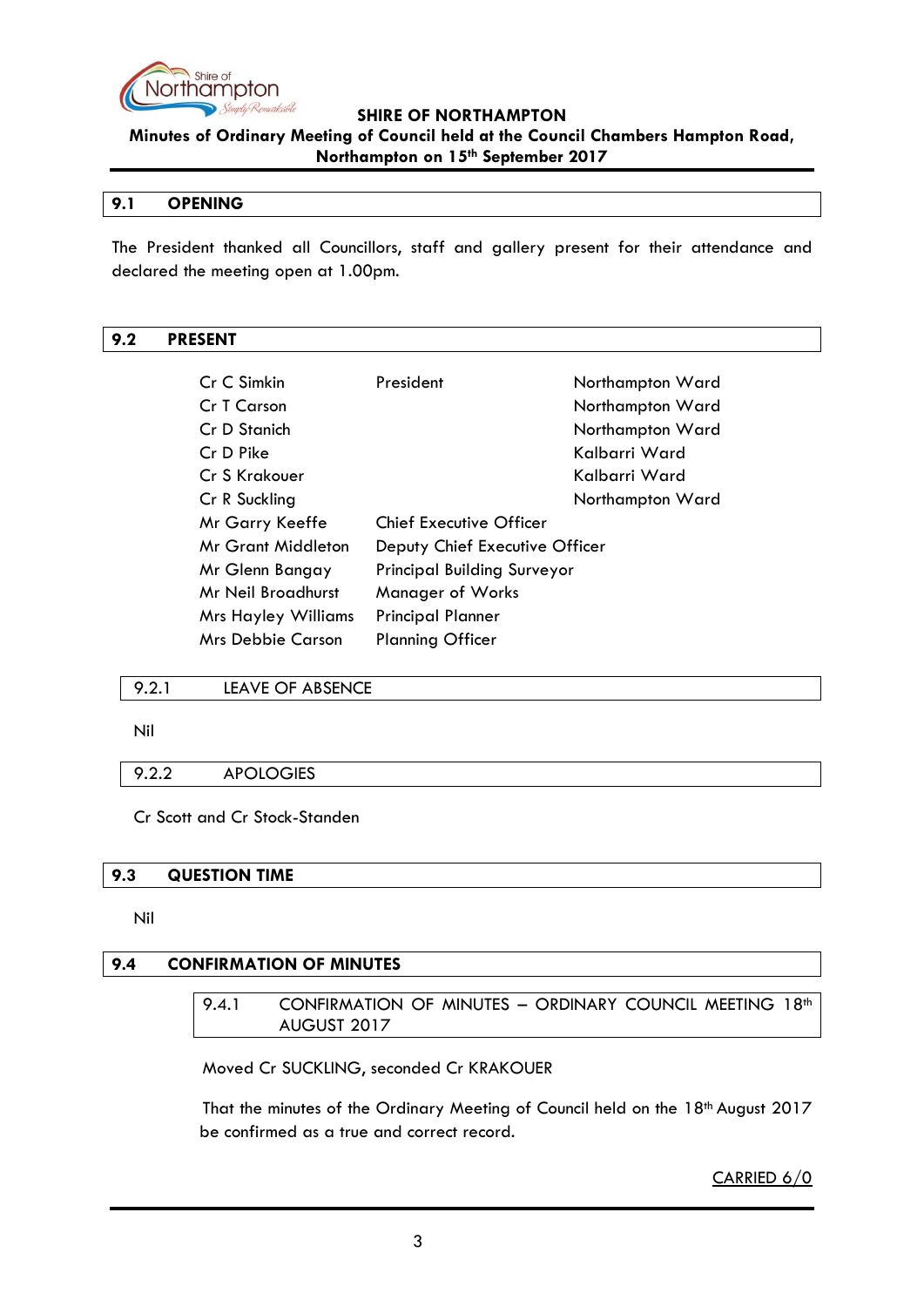

**Minutes of Ordinary Meeting of Council held at the Council Chambers Hampton Road, Northampton on 15th September 2017**

#### <span id="page-2-0"></span>**9.1 OPENING**

The President thanked all Councillors, staff and gallery present for their attendance and declared the meeting open at 1.00pm.

#### <span id="page-2-1"></span>**9.2 PRESENT**

| Cr C Simkin                | President                          | Northampton Ward |  |
|----------------------------|------------------------------------|------------------|--|
| Cr T Carson                |                                    | Northampton Ward |  |
| Cr D Stanich               |                                    | Northampton Ward |  |
| Cr D Pike                  |                                    | Kalbarri Ward    |  |
| Cr S Krakouer              |                                    | Kalbarri Ward    |  |
| Cr R Suckling              |                                    | Northampton Ward |  |
| Mr Garry Keeffe            | Chief Executive Officer            |                  |  |
| Mr Grant Middleton         | Deputy Chief Executive Officer     |                  |  |
| Mr Glenn Bangay            | <b>Principal Building Surveyor</b> |                  |  |
| Mr Neil Broadhurst         | <b>Manager of Works</b>            |                  |  |
| <b>Mrs Hayley Williams</b> | <b>Principal Planner</b>           |                  |  |
| <b>Mrs Debbie Carson</b>   | <b>Planning Officer</b>            |                  |  |

#### <span id="page-2-2"></span>9.2.1 LEAVE OF ABSENCE

Nil

#### <span id="page-2-3"></span>9.2.2 APOLOGIES

Cr Scott and Cr Stock-Standen

### <span id="page-2-4"></span>**9.3 QUESTION TIME**

Nil

### <span id="page-2-6"></span><span id="page-2-5"></span>**9.4 CONFIRMATION OF MINUTES**

9.4.1 CONFIRMATION OF MINUTES - ORDINARY COUNCIL MEETING 18<sup>th</sup> AUGUST 2017

Moved Cr SUCKLING, seconded Cr KRAKOUER

That the minutes of the Ordinary Meeting of Council held on the 18<sup>th</sup> August 2017 be confirmed as a true and correct record.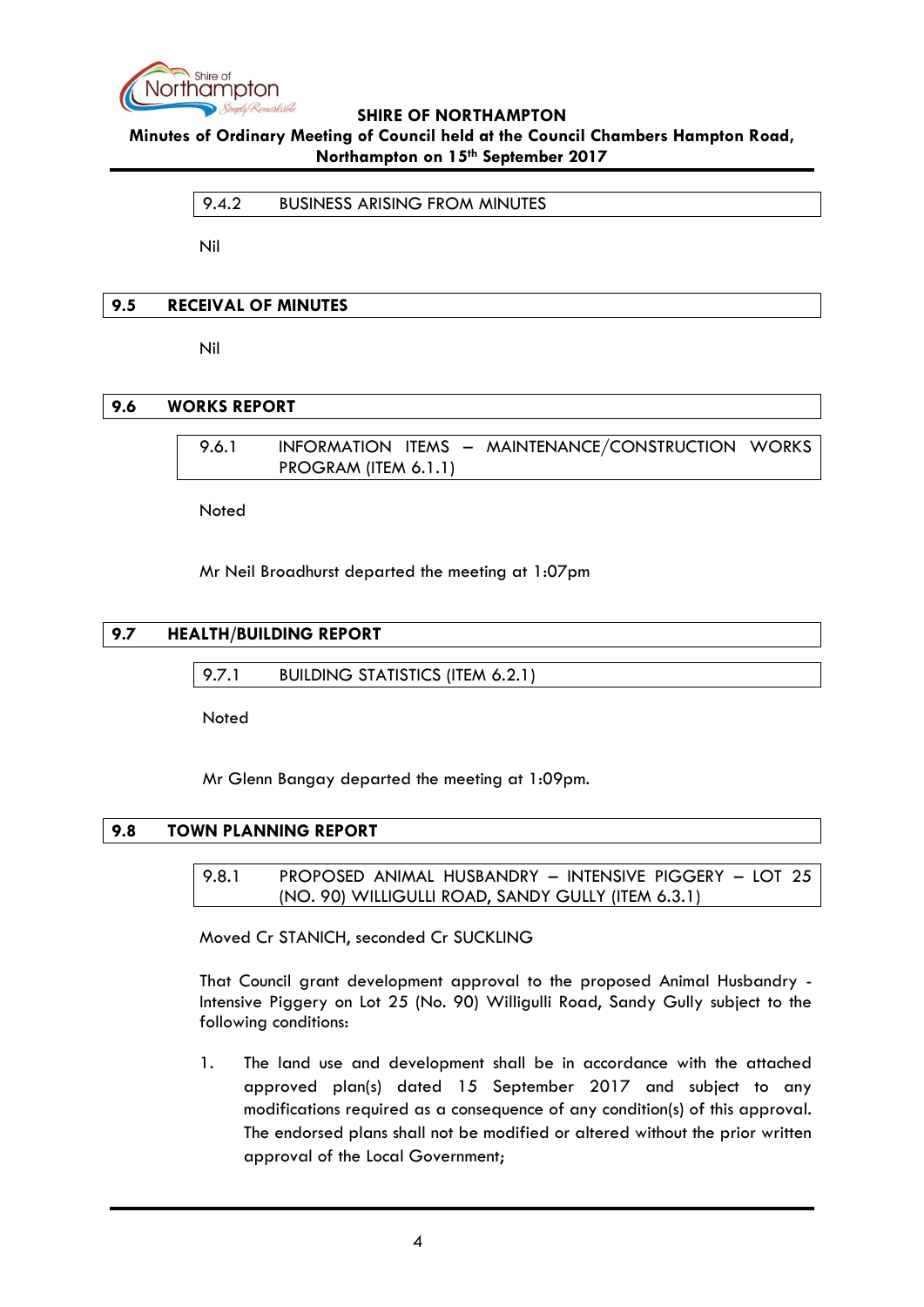

# <span id="page-3-0"></span>**Minutes of Ordinary Meeting of Council held at the Council Chambers Hampton Road, Northampton on 15th September 2017**

#### 9.4.2 BUSINESS ARISING FROM MINUTES

Nil

#### <span id="page-3-1"></span>**9.5 RECEIVAL OF MINUTES**

Nil

#### <span id="page-3-3"></span><span id="page-3-2"></span>**9.6 WORKS REPORT**

9.6.1 INFORMATION ITEMS – MAINTENANCE/CONSTRUCTION WORKS PROGRAM (ITEM 6.1.1)

Noted

Mr Neil Broadhurst departed the meeting at 1:07pm

#### <span id="page-3-5"></span><span id="page-3-4"></span>**9.7 HEALTH/BUILDING REPORT**

9.7.1 BUILDING STATISTICS (ITEM 6.2.1)

Noted

Mr Glenn Bangay departed the meeting at 1:09pm.

### <span id="page-3-7"></span><span id="page-3-6"></span>**9.8 TOWN PLANNING REPORT**

9.8.1 PROPOSED ANIMAL HUSBANDRY – INTENSIVE PIGGERY – LOT 25 (NO. 90) WILLIGULLI ROAD, SANDY GULLY (ITEM 6.3.1)

Moved Cr STANICH, seconded Cr SUCKLING

That Council grant development approval to the proposed Animal Husbandry - Intensive Piggery on Lot 25 (No. 90) Willigulli Road, Sandy Gully subject to the following conditions:

1. The land use and development shall be in accordance with the attached approved plan(s) dated 15 September 2017 and subject to any modifications required as a consequence of any condition(s) of this approval. The endorsed plans shall not be modified or altered without the prior written approval of the Local Government;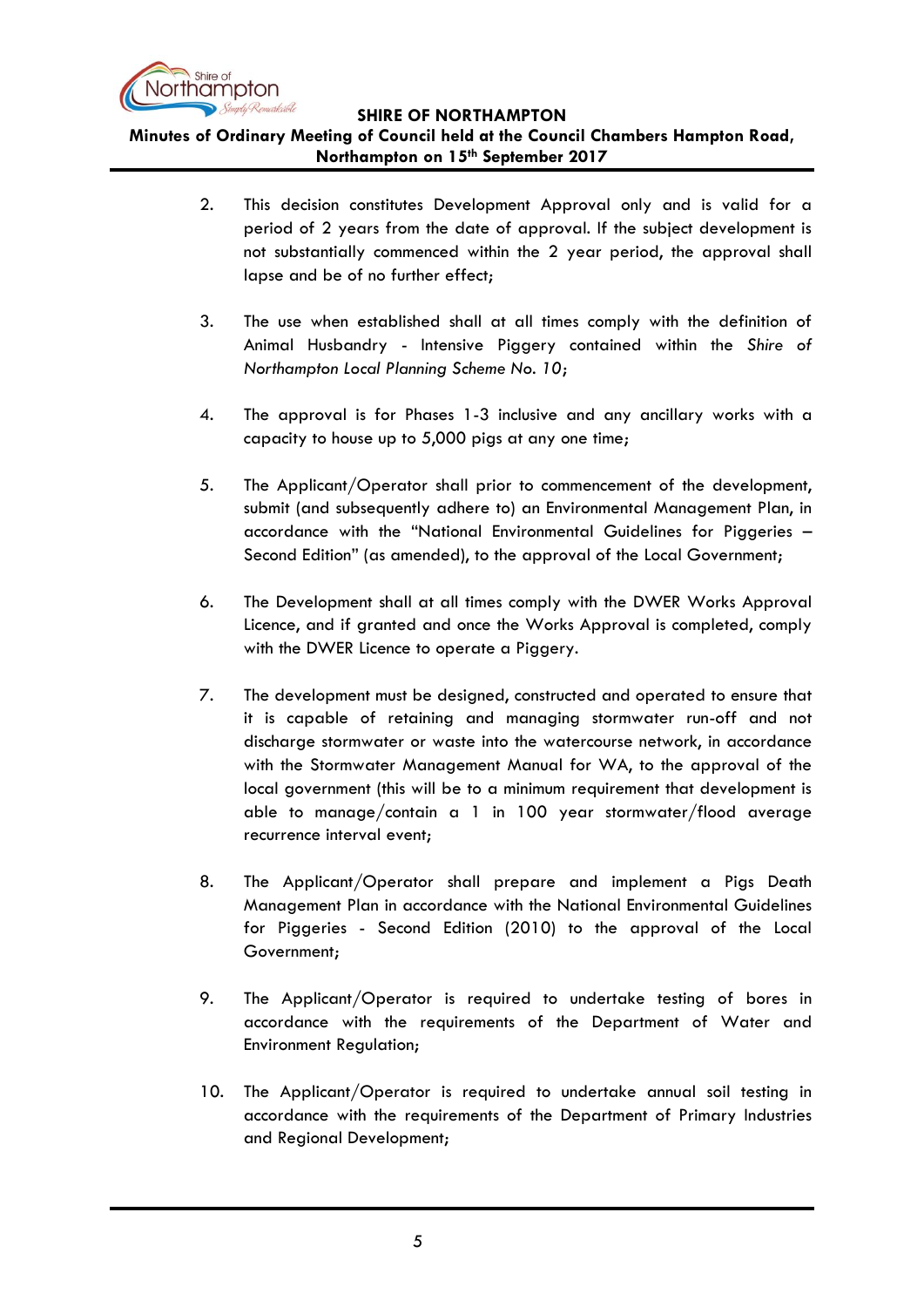

**Minutes of Ordinary Meeting of Council held at the Council Chambers Hampton Road, Northampton on 15th September 2017**

- 2. This decision constitutes Development Approval only and is valid for a period of 2 years from the date of approval. If the subject development is not substantially commenced within the 2 year period, the approval shall lapse and be of no further effect;
- 3. The use when established shall at all times comply with the definition of Animal Husbandry - Intensive Piggery contained within the *Shire of Northampton Local Planning Scheme No. 10*;
- 4. The approval is for Phases 1-3 inclusive and any ancillary works with a capacity to house up to 5,000 pigs at any one time;
- 5. The Applicant/Operator shall prior to commencement of the development, submit (and subsequently adhere to) an Environmental Management Plan, in accordance with the "National Environmental Guidelines for Piggeries – Second Edition" (as amended), to the approval of the Local Government;
- 6. The Development shall at all times comply with the DWER Works Approval Licence, and if granted and once the Works Approval is completed, comply with the DWER Licence to operate a Piggery.
- 7. The development must be designed, constructed and operated to ensure that it is capable of retaining and managing stormwater run-off and not discharge stormwater or waste into the watercourse network, in accordance with the Stormwater Management Manual for WA, to the approval of the local government (this will be to a minimum requirement that development is able to manage/contain a 1 in 100 year stormwater/flood average recurrence interval event;
- 8. The Applicant/Operator shall prepare and implement a Pigs Death Management Plan in accordance with the National Environmental Guidelines for Piggeries - Second Edition (2010) to the approval of the Local Government;
- 9. The Applicant/Operator is required to undertake testing of bores in accordance with the requirements of the Department of Water and Environment Regulation;
- 10. The Applicant/Operator is required to undertake annual soil testing in accordance with the requirements of the Department of Primary Industries and Regional Development;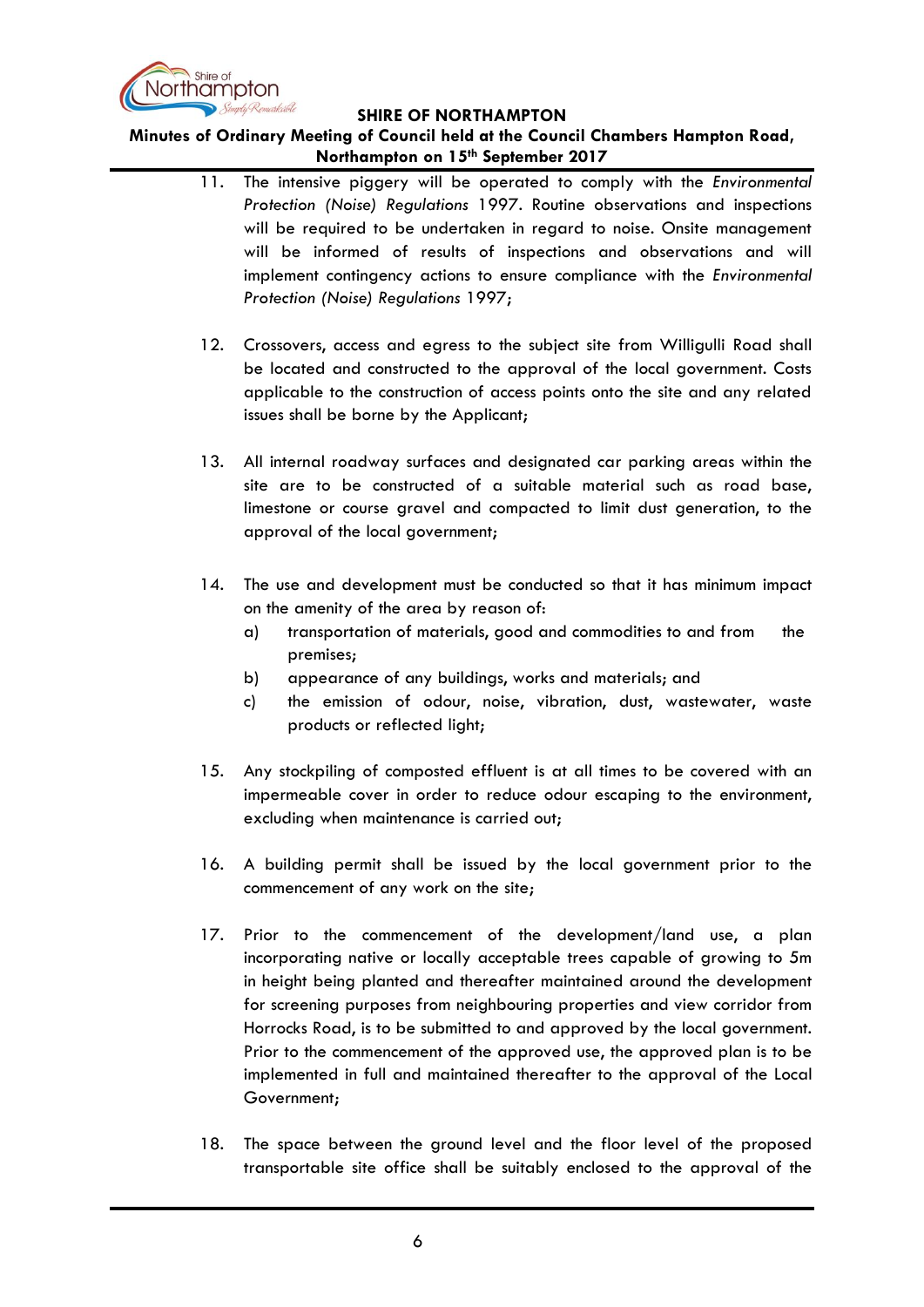

**Minutes of Ordinary Meeting of Council held at the Council Chambers Hampton Road, Northampton on 15th September 2017**

- 11. The intensive piggery will be operated to comply with the *Environmental Protection (Noise) Regulations* 1997. Routine observations and inspections will be required to be undertaken in regard to noise. Onsite management will be informed of results of inspections and observations and will implement contingency actions to ensure compliance with the *Environmental Protection (Noise) Regulations* 1997;
- 12. Crossovers, access and egress to the subject site from Willigulli Road shall be located and constructed to the approval of the local government. Costs applicable to the construction of access points onto the site and any related issues shall be borne by the Applicant;
- 13. All internal roadway surfaces and designated car parking areas within the site are to be constructed of a suitable material such as road base, limestone or course gravel and compacted to limit dust generation, to the approval of the local government;
- 14. The use and development must be conducted so that it has minimum impact on the amenity of the area by reason of:
	- a) transportation of materials, good and commodities to and from the premises;
	- b) appearance of any buildings, works and materials; and
	- c) the emission of odour, noise, vibration, dust, wastewater, waste products or reflected light;
- 15. Any stockpiling of composted effluent is at all times to be covered with an impermeable cover in order to reduce odour escaping to the environment, excluding when maintenance is carried out;
- 16. A building permit shall be issued by the local government prior to the commencement of any work on the site;
- 17. Prior to the commencement of the development/land use, a plan incorporating native or locally acceptable trees capable of growing to 5m in height being planted and thereafter maintained around the development for screening purposes from neighbouring properties and view corridor from Horrocks Road, is to be submitted to and approved by the local government. Prior to the commencement of the approved use, the approved plan is to be implemented in full and maintained thereafter to the approval of the Local Government;
- 18. The space between the ground level and the floor level of the proposed transportable site office shall be suitably enclosed to the approval of the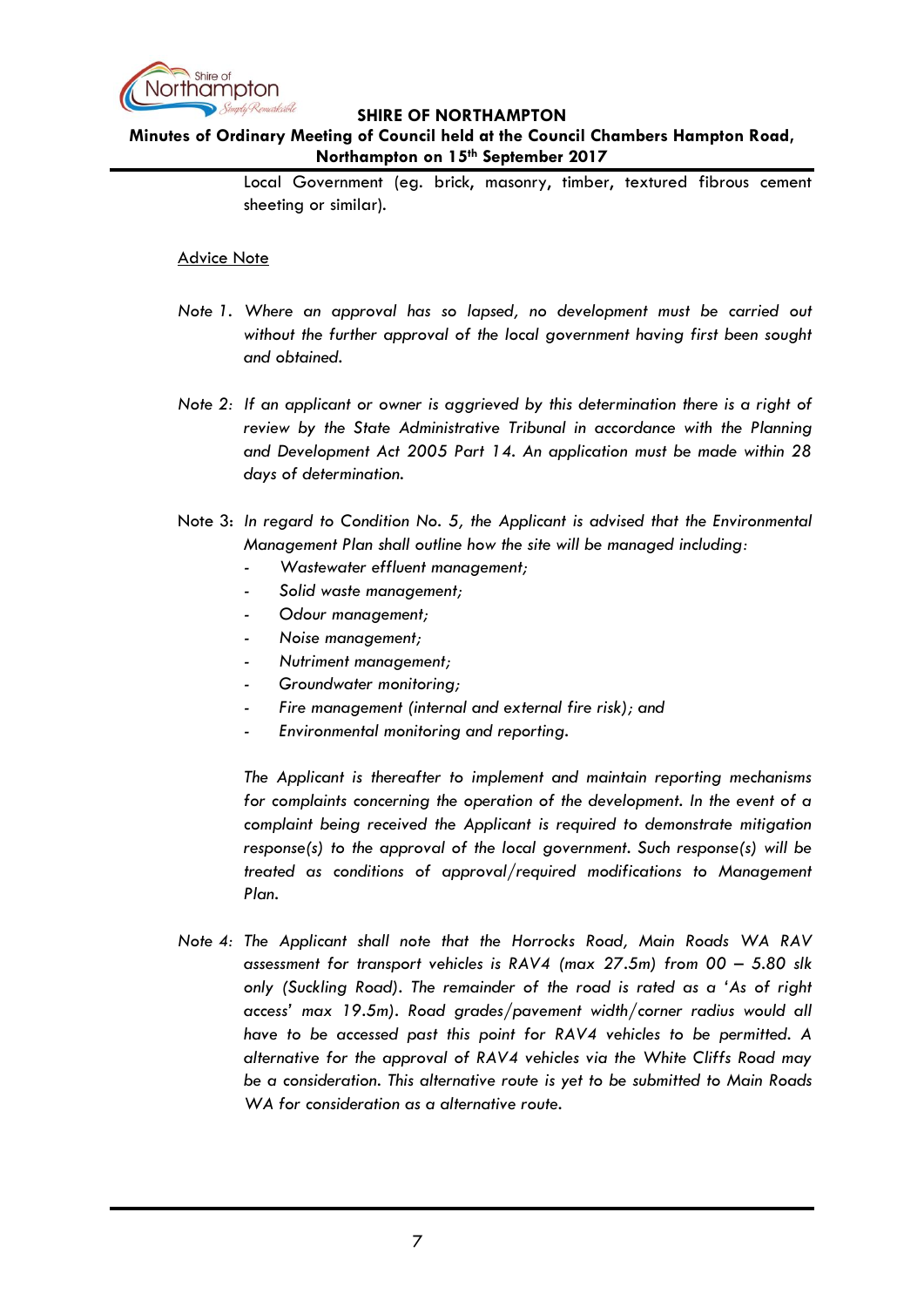

## **Minutes of Ordinary Meeting of Council held at the Council Chambers Hampton Road, Northampton on 15th September 2017**

Local Government (eg. brick, masonry, timber, textured fibrous cement sheeting or similar).

#### Advice Note

- *Note 1. Where an approval has so lapsed, no development must be carried out without the further approval of the local government having first been sought and obtained.*
- *Note 2: If an applicant or owner is aggrieved by this determination there is a right of*  review by the State Administrative Tribunal in accordance with the Planning *and Development Act 2005 Part 14. An application must be made within 28 days of determination.*
- Note 3: *In regard to Condition No. 5, the Applicant is advised that the Environmental Management Plan shall outline how the site will be managed including:*
	- *- Wastewater effluent management;*
	- *- Solid waste management;*
	- *- Odour management;*
	- *- Noise management;*
	- *- Nutriment management;*
	- *- Groundwater monitoring;*
	- *- Fire management (internal and external fire risk); and*
	- *- Environmental monitoring and reporting.*

*The Applicant is thereafter to implement and maintain reporting mechanisms for complaints concerning the operation of the development. In the event of a complaint being received the Applicant is required to demonstrate mitigation response(s) to the approval of the local government. Such response(s) will be treated as conditions of approval/required modifications to Management Plan.*

*Note 4: The Applicant shall note that the Horrocks Road, Main Roads WA RAV assessment for transport vehicles is RAV4 (max 27.5m) from 00 – 5.80 slk only (Suckling Road). The remainder of the road is rated as a "As of right access" max 19.5m). Road grades/pavement width/corner radius would all have to be accessed past this point for RAV4 vehicles to be permitted. A alternative for the approval of RAV4 vehicles via the White Cliffs Road may be a consideration. This alternative route is yet to be submitted to Main Roads WA for consideration as a alternative route.*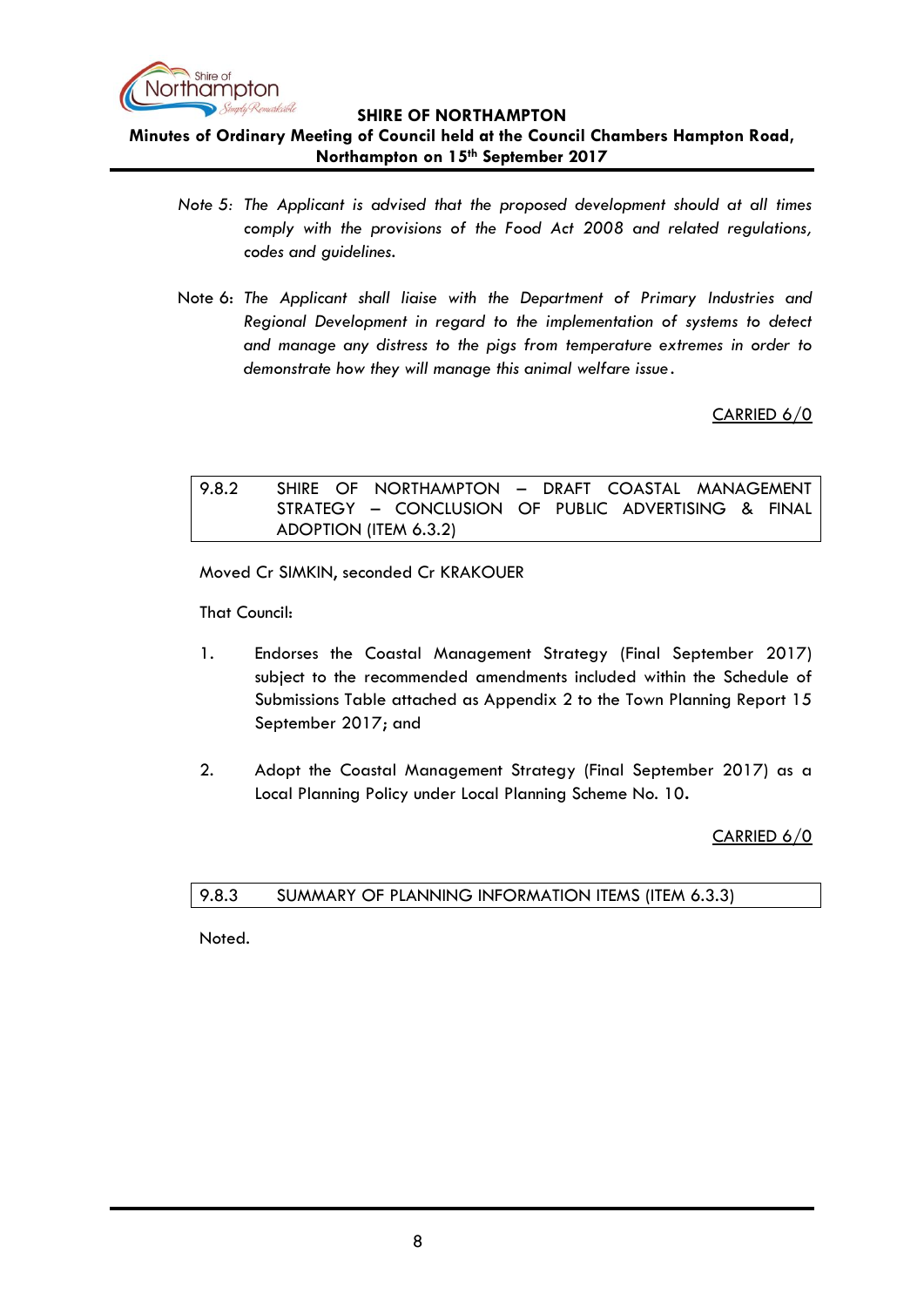

**Minutes of Ordinary Meeting of Council held at the Council Chambers Hampton Road, Northampton on 15th September 2017**

- *Note 5: The Applicant is advised that the proposed development should at all times comply with the provisions of the Food Act 2008 and related regulations, codes and guidelines.*
- Note 6: *The Applicant shall liaise with the Department of Primary Industries and Regional Development in regard to the implementation of systems to detect and manage any distress to the pigs from temperature extremes in order to demonstrate how they will manage this animal welfare issue* .

CARRIED 6/0

# <span id="page-7-0"></span>9.8.2 SHIRE OF NORTHAMPTON – DRAFT COASTAL MANAGEMENT STRATEGY – CONCLUSION OF PUBLIC ADVERTISING & FINAL ADOPTION (ITEM 6.3.2)

Moved Cr SIMKIN, seconded Cr KRAKOUER

That Council:

- 1. Endorses the Coastal Management Strategy (Final September 2017) subject to the recommended amendments included within the Schedule of Submissions Table attached as Appendix 2 to the Town Planning Report 15 September 2017; and
- 2. Adopt the Coastal Management Strategy (Final September 2017) as a Local Planning Policy under Local Planning Scheme No. 10**.**

CARRIED 6/0

<span id="page-7-1"></span>

| 9.8.3 | SUMMARY OF PLANNING INFORMATION ITEMS (ITEM 6.3.3) |  |
|-------|----------------------------------------------------|--|
|-------|----------------------------------------------------|--|

Noted.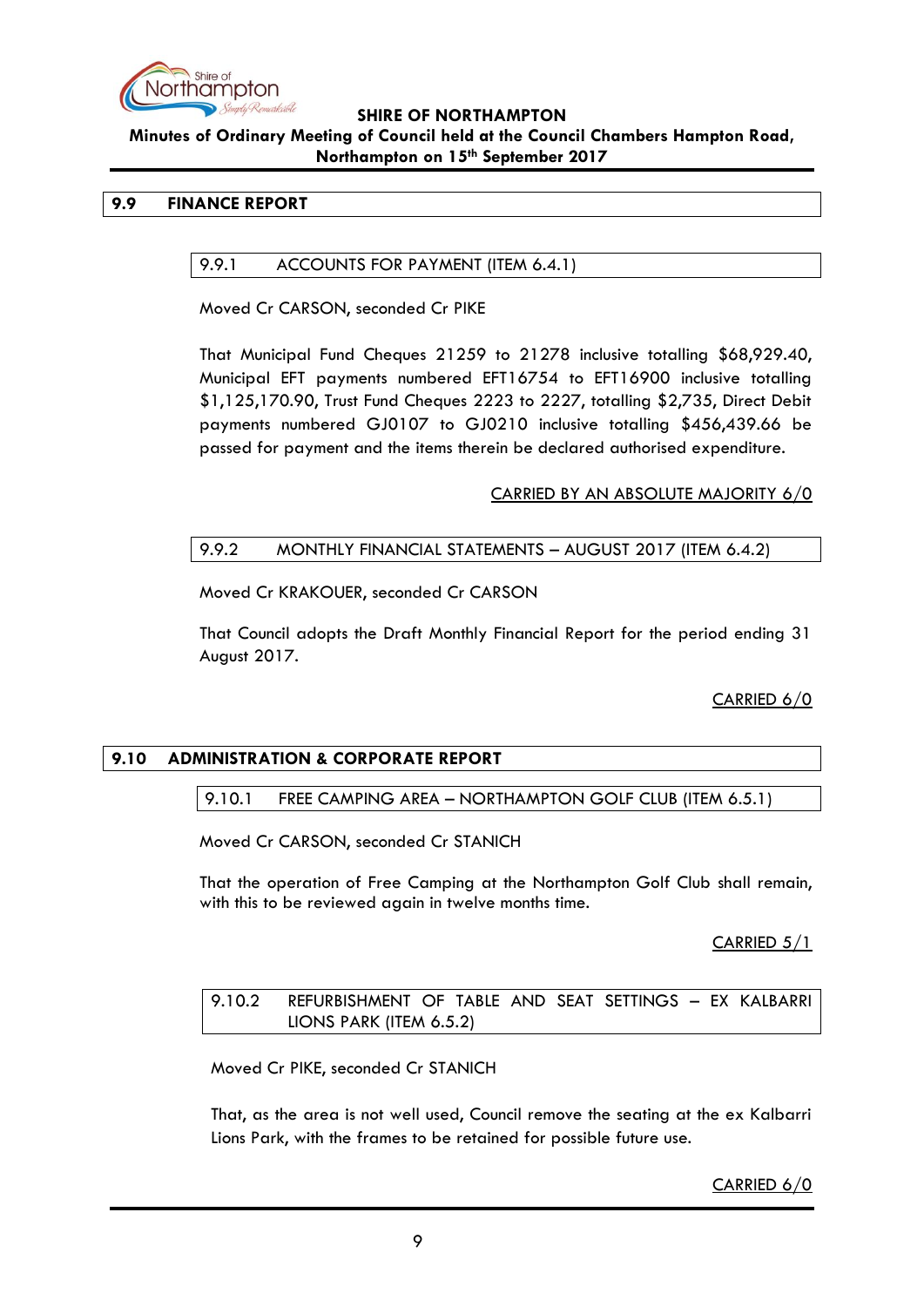

#### **Minutes of Ordinary Meeting of Council held at the Council Chambers Hampton Road, Northampton on 15th September 2017**

### <span id="page-8-1"></span><span id="page-8-0"></span>**9.9 FINANCE REPORT**

## 9.9.1 ACCOUNTS FOR PAYMENT (ITEM 6.4.1)

Moved Cr CARSON, seconded Cr PIKE

That Municipal Fund Cheques 21259 to 21278 inclusive totalling \$68,929.40, Municipal EFT payments numbered EFT16754 to EFT16900 inclusive totalling \$1,125,170.90, Trust Fund Cheques 2223 to 2227, totalling \$2,735, Direct Debit payments numbered GJ0107 to GJ0210 inclusive totalling \$456,439.66 be passed for payment and the items therein be declared authorised expenditure.

CARRIED BY AN ABSOLUTE MAJORITY 6/0

#### <span id="page-8-2"></span>9.9.2 MONTHLY FINANCIAL STATEMENTS – AUGUST 2017 (ITEM 6.4.2)

Moved Cr KRAKOUER, seconded Cr CARSON

That Council adopts the Draft Monthly Financial Report for the period ending 31 August 2017.

CARRIED 6/0

## <span id="page-8-3"></span>**9.10 ADMINISTRATION & CORPORATE REPORT**

### <span id="page-8-4"></span>9.10.1 FREE CAMPING AREA – NORTHAMPTON GOLF CLUB (ITEM 6.5.1)

Moved Cr CARSON, seconded Cr STANICH

That the operation of Free Camping at the Northampton Golf Club shall remain, with this to be reviewed again in twelve months time.

### CARRIED 5/1

### <span id="page-8-5"></span>9.10.2 REFURBISHMENT OF TABLE AND SEAT SETTINGS – EX KALBARRI LIONS PARK (ITEM 6.5.2)

Moved Cr PIKE, seconded Cr STANICH

That, as the area is not well used, Council remove the seating at the ex Kalbarri Lions Park, with the frames to be retained for possible future use.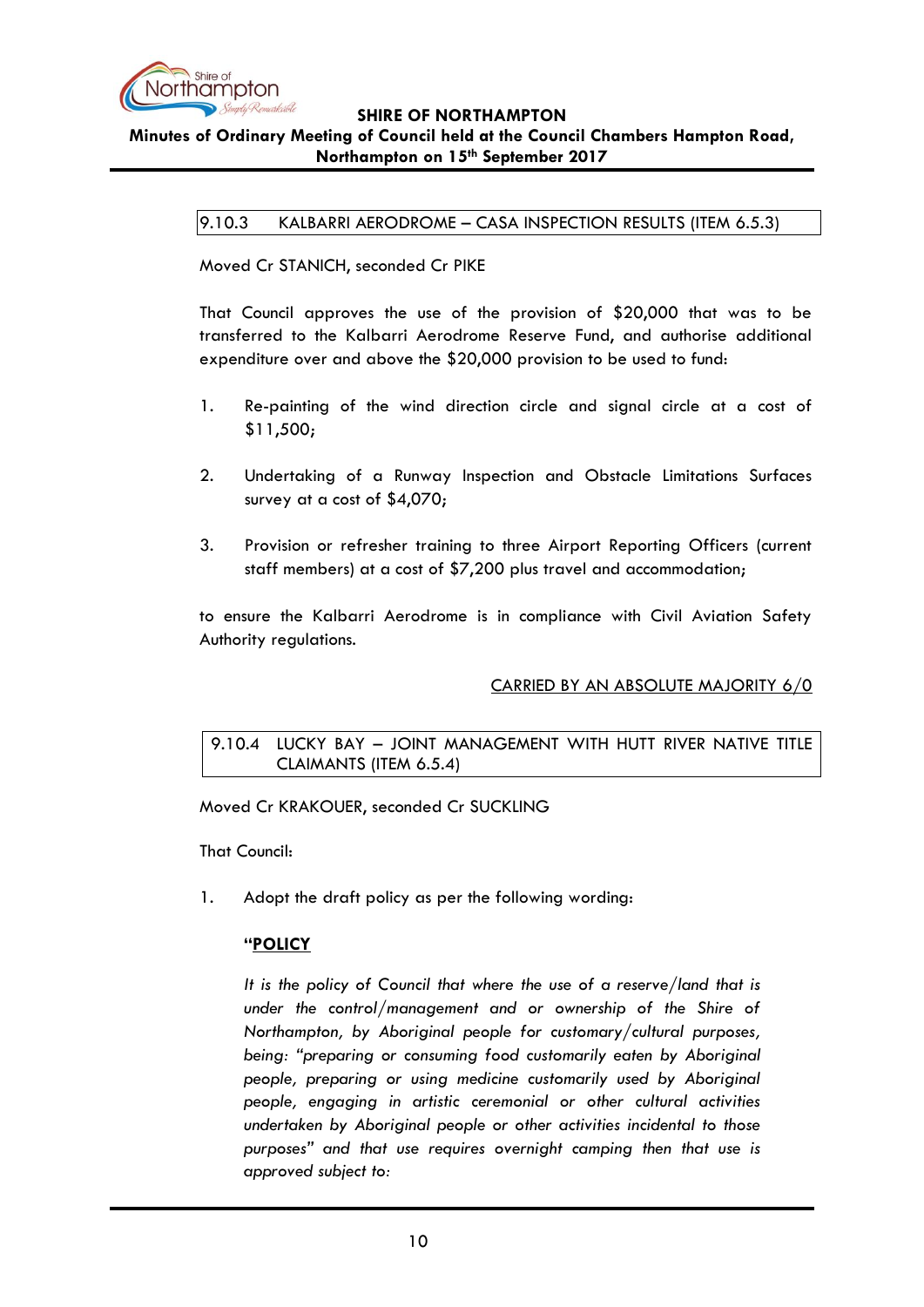

# <span id="page-9-0"></span>**Minutes of Ordinary Meeting of Council held at the Council Chambers Hampton Road, Northampton on 15th September 2017**

#### 9.10.3 KALBARRI AERODROME – CASA INSPECTION RESULTS (ITEM 6.5.3)

Moved Cr STANICH, seconded Cr PIKE

That Council approves the use of the provision of \$20,000 that was to be transferred to the Kalbarri Aerodrome Reserve Fund, and authorise additional expenditure over and above the \$20,000 provision to be used to fund:

- 1. Re-painting of the wind direction circle and signal circle at a cost of \$11,500;
- 2. Undertaking of a Runway Inspection and Obstacle Limitations Surfaces survey at a cost of \$4,070;
- 3. Provision or refresher training to three Airport Reporting Officers (current staff members) at a cost of \$7,200 plus travel and accommodation;

to ensure the Kalbarri Aerodrome is in compliance with Civil Aviation Safety Authority regulations.

### CARRIED BY AN ABSOLUTE MAJORITY 6/0

### <span id="page-9-1"></span>9.10.4 LUCKY BAY – JOINT MANAGEMENT WITH HUTT RIVER NATIVE TITLE CLAIMANTS (ITEM 6.5.4)

Moved Cr KRAKOUER, seconded Cr SUCKLING

That Council:

1. Adopt the draft policy as per the following wording:

### **"POLICY**

*It is the policy of Council that where the use of a reserve/land that is*  under the control/management and or ownership of the Shire of *Northampton, by Aboriginal people for customary/cultural purposes, being: "preparing or consuming food customarily eaten by Aboriginal people, preparing or using medicine customarily used by Aboriginal people, engaging in artistic ceremonial or other cultural activities undertaken by Aboriginal people or other activities incidental to those purposes" and that use requires overnight camping then that use is approved subject to:*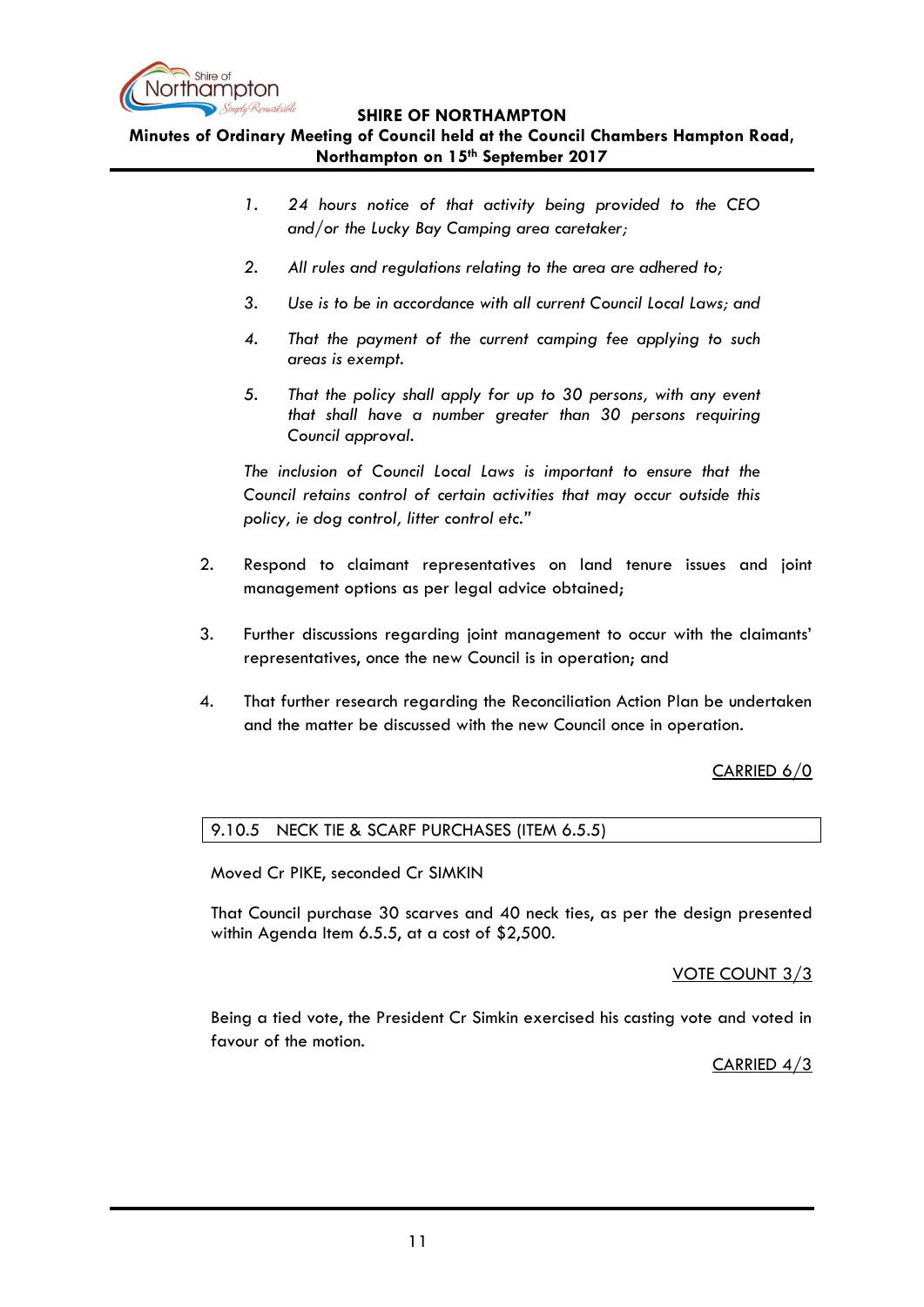

**Minutes of Ordinary Meeting of Council held at the Council Chambers Hampton Road, Northampton on 15th September 2017**

- *1. 24 hours notice of that activity being provided to the CEO and/or the Lucky Bay Camping area caretaker;*
- *2. All rules and regulations relating to the area are adhered to;*
- *3. Use is to be in accordance with all current Council Local Laws; and*
- *4. That the payment of the current camping fee applying to such areas is exempt.*
- *5. That the policy shall apply for up to 30 persons, with any event that shall have a number greater than 30 persons requiring Council approval.*

*The inclusion of Council Local Laws is important to ensure that the Council retains control of certain activities that may occur outside this policy, ie dog control, litter control etc."*

- 2. Respond to claimant representatives on land tenure issues and joint management options as per legal advice obtained;
- 3. Further discussions regarding joint management to occur with the claimants' representatives, once the new Council is in operation; and
- 4. That further research regarding the Reconciliation Action Plan be undertaken and the matter be discussed with the new Council once in operation.

# CARRIED 6/0

### <span id="page-10-0"></span>9.10.5 NECK TIE & SCARF PURCHASES (ITEM 6.5.5)

Moved Cr PIKE, seconded Cr SIMKIN

That Council purchase 30 scarves and 40 neck ties, as per the design presented within Agenda Item 6.5.5, at a cost of \$2,500.

### VOTE COUNT 3/3

Being a tied vote, the President Cr Simkin exercised his casting vote and voted in favour of the motion.

#### CARRIED 4/3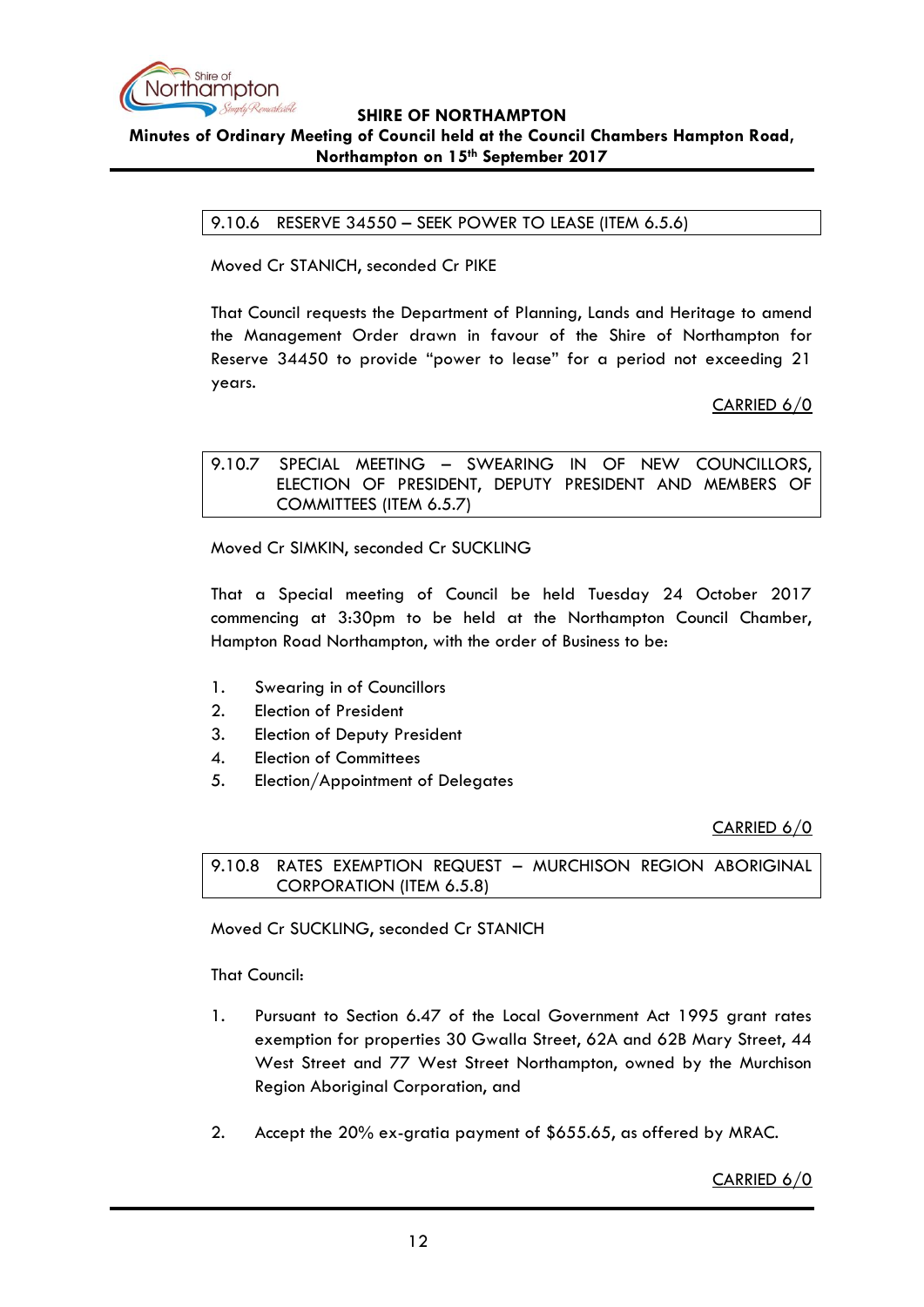

## <span id="page-11-0"></span>**Minutes of Ordinary Meeting of Council held at the Council Chambers Hampton Road, Northampton on 15th September 2017**

#### 9.10.6 RESERVE 34550 – SEEK POWER TO LEASE (ITEM 6.5.6)

Moved Cr STANICH, seconded Cr PIKE

That Council requests the Department of Planning, Lands and Heritage to amend the Management Order drawn in favour of the Shire of Northampton for Reserve 34450 to provide "power to lease" for a period not exceeding 21 years.

#### CARRIED 6/0

<span id="page-11-1"></span>9.10.7 SPECIAL MEETING – SWEARING IN OF NEW COUNCILLORS, ELECTION OF PRESIDENT, DEPUTY PRESIDENT AND MEMBERS OF COMMITTEES (ITEM 6.5.7)

Moved Cr SIMKIN, seconded Cr SUCKLING

That a Special meeting of Council be held Tuesday 24 October 2017 commencing at 3:30pm to be held at the Northampton Council Chamber, Hampton Road Northampton, with the order of Business to be:

- 1. Swearing in of Councillors
- 2. Election of President
- 3. Election of Deputy President
- 4. Election of Committees
- 5. Election/Appointment of Delegates

CARRIED 6/0

<span id="page-11-2"></span>9.10.8 RATES EXEMPTION REQUEST – MURCHISON REGION ABORIGINAL CORPORATION (ITEM 6.5.8)

Moved Cr SUCKLING, seconded Cr STANICH

That Council:

- 1. Pursuant to Section 6.47 of the Local Government Act 1995 grant rates exemption for properties 30 Gwalla Street, 62A and 62B Mary Street, 44 West Street and 77 West Street Northampton, owned by the Murchison Region Aboriginal Corporation, and
- 2. Accept the 20% ex-gratia payment of \$655.65, as offered by MRAC.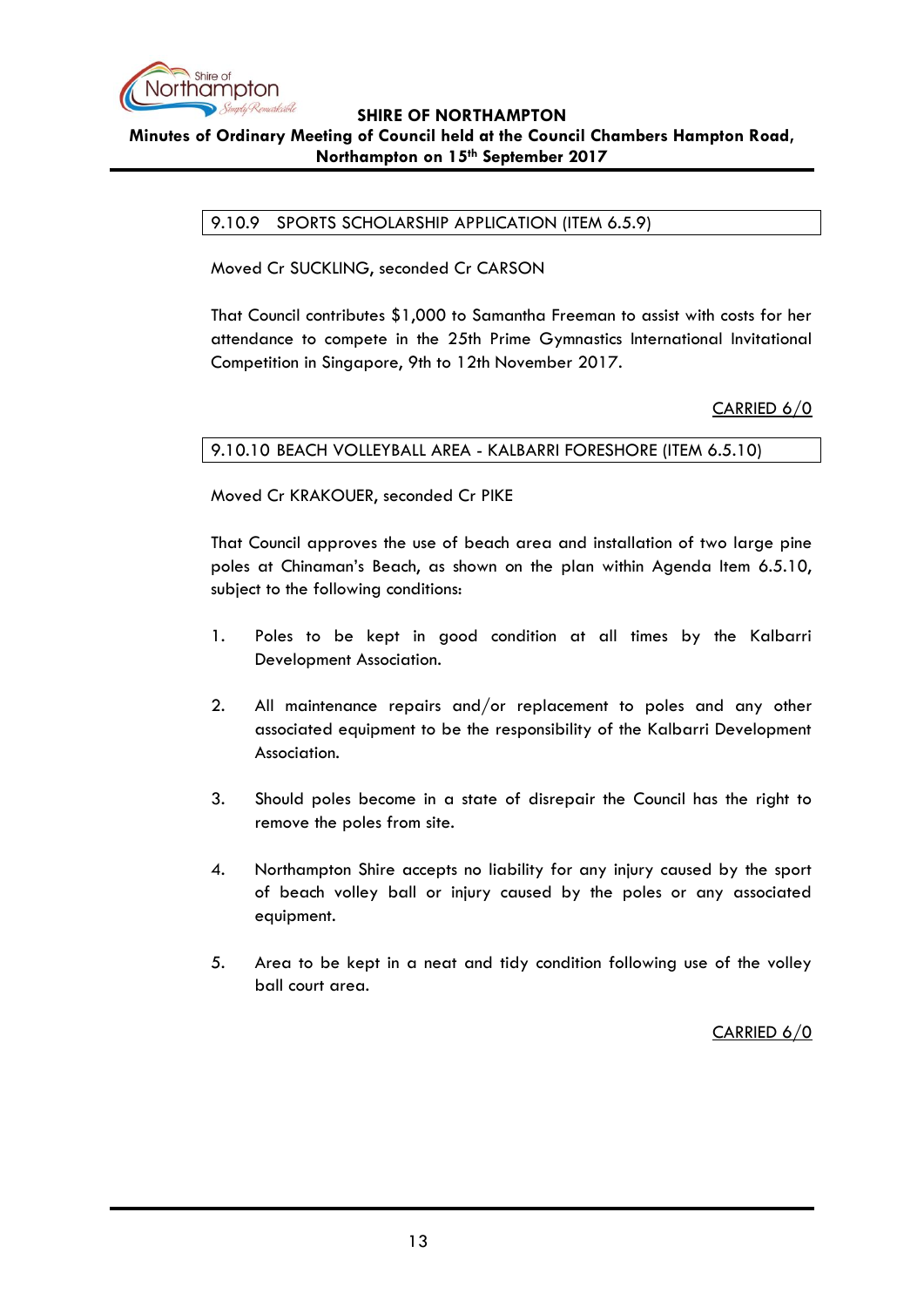

## <span id="page-12-0"></span>**SHIRE OF NORTHAMPTON Minutes of Ordinary Meeting of Council held at the Council Chambers Hampton Road,**

# **Northampton on 15th September 2017**

## 9.10.9 SPORTS SCHOLARSHIP APPLICATION (ITEM 6.5.9)

Moved Cr SUCKLING, seconded Cr CARSON

That Council contributes \$1,000 to Samantha Freeman to assist with costs for her attendance to compete in the 25th Prime Gymnastics International Invitational Competition in Singapore, 9th to 12th November 2017.

CARRIED 6/0

### <span id="page-12-1"></span>9.10.10 BEACH VOLLEYBALL AREA - KALBARRI FORESHORE (ITEM 6.5.10)

Moved Cr KRAKOUER, seconded Cr PIKE

That Council approves the use of beach area and installation of two large pine poles at Chinaman's Beach, as shown on the plan within Agenda Item 6.5.10, subject to the following conditions:

- 1. Poles to be kept in good condition at all times by the Kalbarri Development Association.
- 2. All maintenance repairs and/or replacement to poles and any other associated equipment to be the responsibility of the Kalbarri Development Association.
- 3. Should poles become in a state of disrepair the Council has the right to remove the poles from site.
- 4. Northampton Shire accepts no liability for any injury caused by the sport of beach volley ball or injury caused by the poles or any associated equipment.
- 5. Area to be kept in a neat and tidy condition following use of the volley ball court area.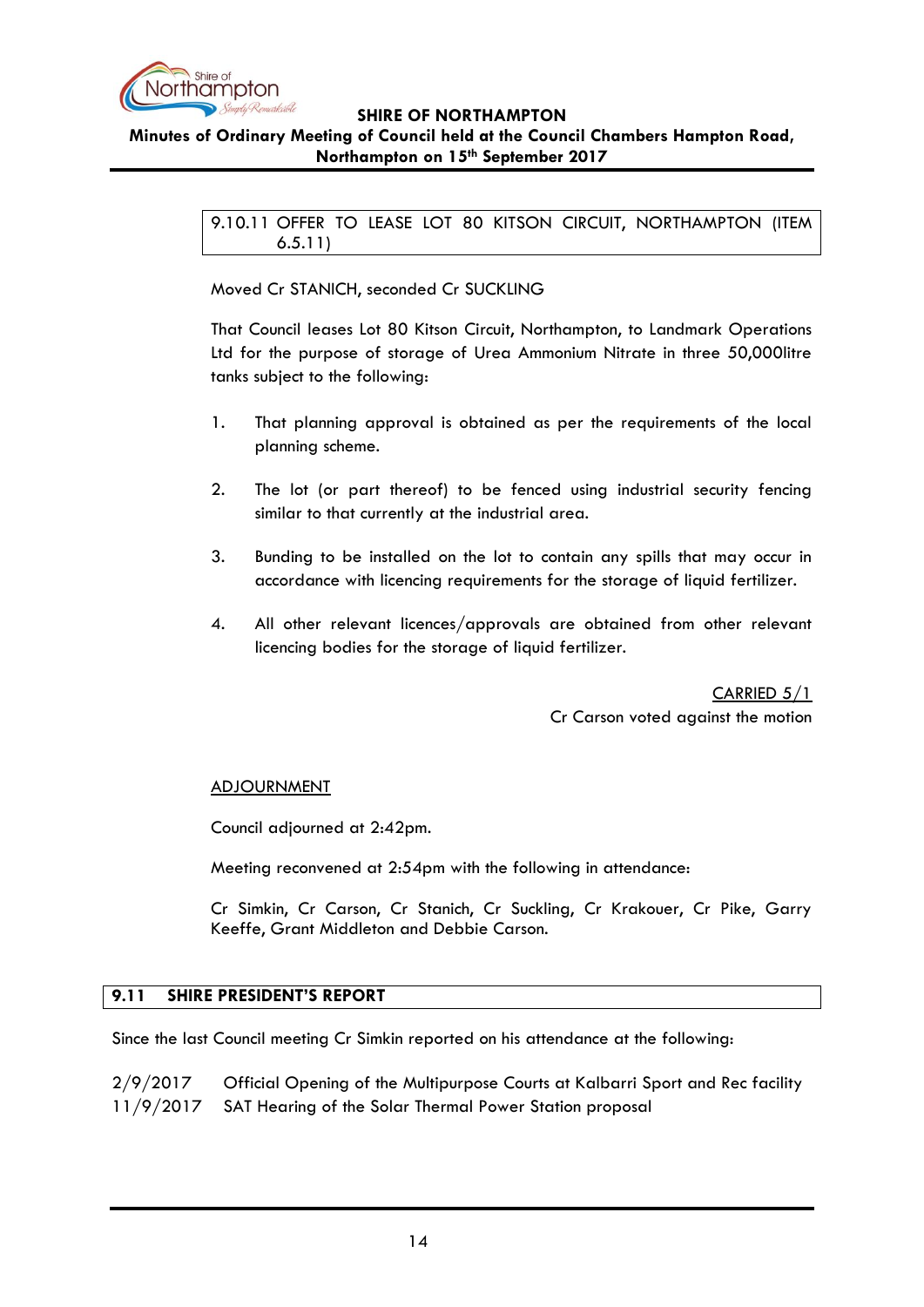

# <span id="page-13-0"></span>**Minutes of Ordinary Meeting of Council held at the Council Chambers Hampton Road, Northampton on 15th September 2017**

9.10.11 OFFER TO LEASE LOT 80 KITSON CIRCUIT, NORTHAMPTON (ITEM 6.5.11)

Moved Cr STANICH, seconded Cr SUCKLING

That Council leases Lot 80 Kitson Circuit, Northampton, to Landmark Operations Ltd for the purpose of storage of Urea Ammonium Nitrate in three 50,000litre tanks subject to the following:

- 1. That planning approval is obtained as per the requirements of the local planning scheme.
- 2. The lot (or part thereof) to be fenced using industrial security fencing similar to that currently at the industrial area.
- 3. Bunding to be installed on the lot to contain any spills that may occur in accordance with licencing requirements for the storage of liquid fertilizer.
- 4. All other relevant licences/approvals are obtained from other relevant licencing bodies for the storage of liquid fertilizer.

CARRIED 5/1 Cr Carson voted against the motion

### ADJOURNMENT

Council adjourned at 2:42pm.

Meeting reconvened at 2:54pm with the following in attendance:

Cr Simkin, Cr Carson, Cr Stanich, Cr Suckling, Cr Krakouer, Cr Pike, Garry Keeffe, Grant Middleton and Debbie Carson.

### <span id="page-13-1"></span>**9.11 SHIRE PRESIDENT'S REPORT**

Since the last Council meeting Cr Simkin reported on his attendance at the following:

2/9/2017 Official Opening of the Multipurpose Courts at Kalbarri Sport and Rec facility 11/9/2017 SAT Hearing of the Solar Thermal Power Station proposal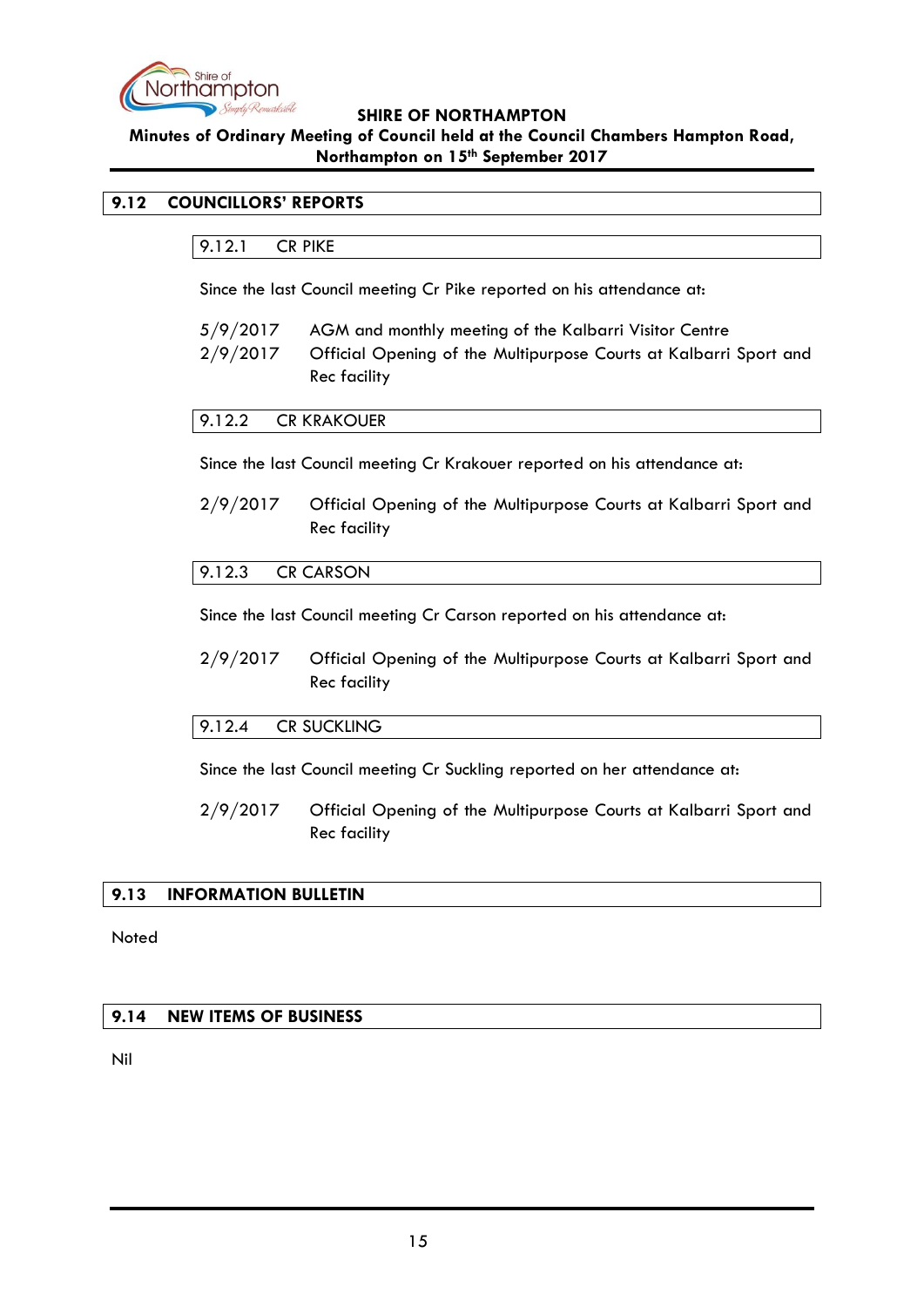

## **Minutes of Ordinary Meeting of Council held at the Council Chambers Hampton Road, Northampton on 15th September 2017**

## <span id="page-14-1"></span><span id="page-14-0"></span>**9.12 COUNCILLORS' REPORTS**

9.12.1 CR PIKE

Since the last Council meeting Cr Pike reported on his attendance at:

|  | 5/9/2017 | AGM and monthly meeting of the Kalbarri Visitor Centre |  |
|--|----------|--------------------------------------------------------|--|
|--|----------|--------------------------------------------------------|--|

2/9/2017 Official Opening of the Multipurpose Courts at Kalbarri Sport and Rec facility

#### <span id="page-14-2"></span>9.12.2 CR KRAKOUER

Since the last Council meeting Cr Krakouer reported on his attendance at:

2/9/2017 Official Opening of the Multipurpose Courts at Kalbarri Sport and Rec facility

#### <span id="page-14-3"></span>9.12.3 CR CARSON

Since the last Council meeting Cr Carson reported on his attendance at:

2/9/2017 Official Opening of the Multipurpose Courts at Kalbarri Sport and Rec facility

### <span id="page-14-4"></span>9.12.4 CR SUCKLING

Since the last Council meeting Cr Suckling reported on her attendance at:

2/9/2017 Official Opening of the Multipurpose Courts at Kalbarri Sport and Rec facility

### <span id="page-14-5"></span>**9.13 INFORMATION BULLETIN**

Noted

#### <span id="page-14-6"></span>**9.14 NEW ITEMS OF BUSINESS**

Nil